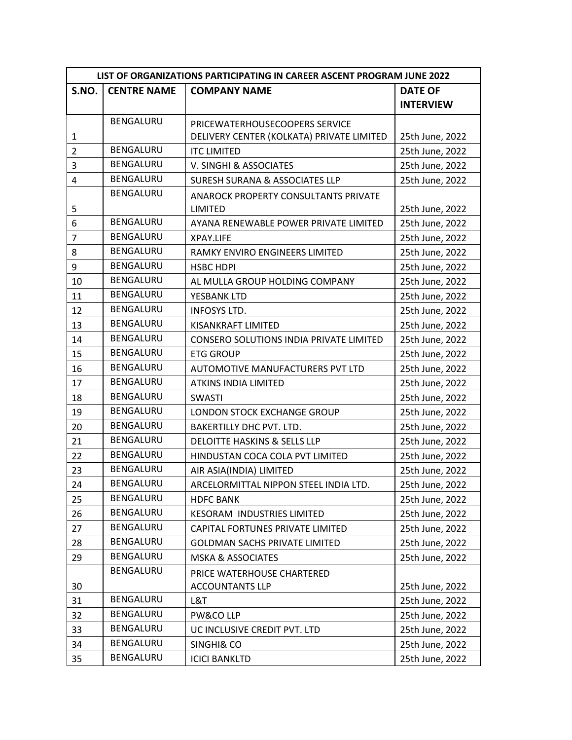| LIST OF ORGANIZATIONS PARTICIPATING IN CAREER ASCENT PROGRAM JUNE 2022 |                    |                                                |                  |
|------------------------------------------------------------------------|--------------------|------------------------------------------------|------------------|
| S.NO.                                                                  | <b>CENTRE NAME</b> | <b>COMPANY NAME</b>                            | <b>DATE OF</b>   |
|                                                                        |                    |                                                | <b>INTERVIEW</b> |
|                                                                        | BENGALURU          | PRICEWATERHOUSECOOPERS SERVICE                 |                  |
| $\mathbf{1}$                                                           |                    | DELIVERY CENTER (KOLKATA) PRIVATE LIMITED      | 25th June, 2022  |
| $\overline{2}$                                                         | BENGALURU          | <b>ITC LIMITED</b>                             | 25th June, 2022  |
| 3                                                                      | BENGALURU          | V. SINGHI & ASSOCIATES                         | 25th June, 2022  |
| $\overline{4}$                                                         | BENGALURU          | <b>SURESH SURANA &amp; ASSOCIATES LLP</b>      | 25th June, 2022  |
|                                                                        | BENGALURU          | <b>ANAROCK PROPERTY CONSULTANTS PRIVATE</b>    |                  |
| 5                                                                      |                    | <b>LIMITED</b>                                 | 25th June, 2022  |
| 6                                                                      | BENGALURU          | AYANA RENEWABLE POWER PRIVATE LIMITED          | 25th June, 2022  |
| $\overline{7}$                                                         | BENGALURU          | <b>XPAY.LIFE</b>                               | 25th June, 2022  |
| 8                                                                      | BENGALURU          | RAMKY ENVIRO ENGINEERS LIMITED                 | 25th June, 2022  |
| 9                                                                      | BENGALURU          | <b>HSBC HDPI</b>                               | 25th June, 2022  |
| 10                                                                     | BENGALURU          | AL MULLA GROUP HOLDING COMPANY                 | 25th June, 2022  |
| 11                                                                     | BENGALURU          | YESBANK LTD                                    | 25th June, 2022  |
| 12                                                                     | <b>BENGALURU</b>   | <b>INFOSYS LTD.</b>                            | 25th June, 2022  |
| 13                                                                     | BENGALURU          | <b>KISANKRAFT LIMITED</b>                      | 25th June, 2022  |
| 14                                                                     | BENGALURU          | <b>CONSERO SOLUTIONS INDIA PRIVATE LIMITED</b> | 25th June, 2022  |
| 15                                                                     | BENGALURU          | <b>ETG GROUP</b>                               | 25th June, 2022  |
| 16                                                                     | BENGALURU          | AUTOMOTIVE MANUFACTURERS PVT LTD               | 25th June, 2022  |
| 17                                                                     | BENGALURU          | <b>ATKINS INDIA LIMITED</b>                    | 25th June, 2022  |
| 18                                                                     | BENGALURU          | <b>SWASTI</b>                                  | 25th June, 2022  |
| 19                                                                     | BENGALURU          | LONDON STOCK EXCHANGE GROUP                    | 25th June, 2022  |
| 20                                                                     | BENGALURU          | BAKERTILLY DHC PVT. LTD.                       | 25th June, 2022  |
| 21                                                                     | BENGALURU          | <b>DELOITTE HASKINS &amp; SELLS LLP</b>        | 25th June, 2022  |
| 22                                                                     | BENGALURU          | HINDUSTAN COCA COLA PVT LIMITED                | 25th June, 2022  |
| 23                                                                     | BENGALURU          | AIR ASIA(INDIA) LIMITED                        | 25th June, 2022  |
| 24                                                                     | <b>BENGALURU</b>   | ARCELORMITTAL NIPPON STEEL INDIA LTD.          | 25th June, 2022  |
| 25                                                                     | BENGALURU          | <b>HDFC BANK</b>                               | 25th June, 2022  |
| 26                                                                     | BENGALURU          | <b>KESORAM INDUSTRIES LIMITED</b>              | 25th June, 2022  |
| 27                                                                     | BENGALURU          | CAPITAL FORTUNES PRIVATE LIMITED               | 25th June, 2022  |
| 28                                                                     | BENGALURU          | <b>GOLDMAN SACHS PRIVATE LIMITED</b>           | 25th June, 2022  |
| 29                                                                     | BENGALURU          | <b>MSKA &amp; ASSOCIATES</b>                   | 25th June, 2022  |
|                                                                        | BENGALURU          | PRICE WATERHOUSE CHARTERED                     |                  |
| 30                                                                     |                    | <b>ACCOUNTANTS LLP</b>                         | 25th June, 2022  |
| 31                                                                     | BENGALURU          | L&T                                            | 25th June, 2022  |
| 32                                                                     | BENGALURU          | PW&CO LLP                                      | 25th June, 2022  |
| 33                                                                     | BENGALURU          | UC INCLUSIVE CREDIT PVT. LTD                   | 25th June, 2022  |
| 34                                                                     | BENGALURU          | SINGHI& CO                                     | 25th June, 2022  |
| 35                                                                     | BENGALURU          | <b>ICICI BANKLTD</b>                           | 25th June, 2022  |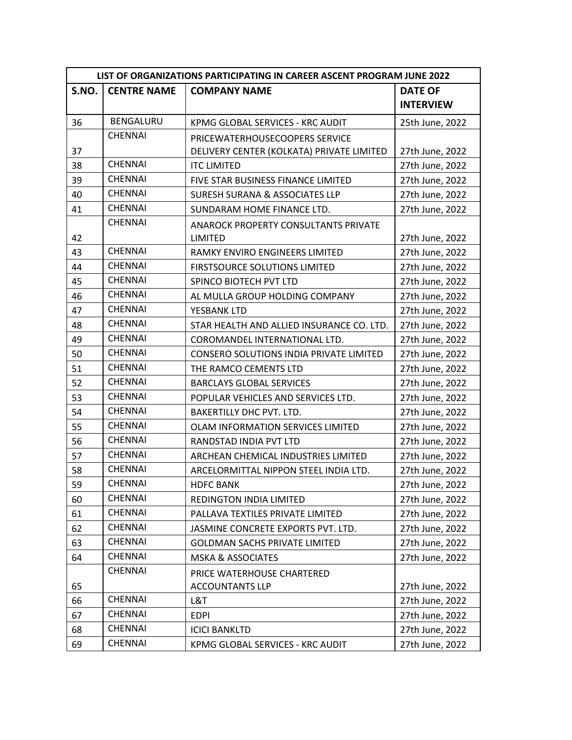| LIST OF ORGANIZATIONS PARTICIPATING IN CAREER ASCENT PROGRAM JUNE 2022 |                    |                                           |                  |
|------------------------------------------------------------------------|--------------------|-------------------------------------------|------------------|
| S.NO.                                                                  | <b>CENTRE NAME</b> | <b>COMPANY NAME</b>                       | <b>DATE OF</b>   |
|                                                                        |                    |                                           | <b>INTERVIEW</b> |
| 36                                                                     | BENGALURU          | KPMG GLOBAL SERVICES - KRC AUDIT          | 25th June, 2022  |
|                                                                        | <b>CHENNAI</b>     | PRICEWATERHOUSECOOPERS SERVICE            |                  |
| 37                                                                     |                    | DELIVERY CENTER (KOLKATA) PRIVATE LIMITED | 27th June, 2022  |
| 38                                                                     | <b>CHENNAI</b>     | <b>ITC LIMITED</b>                        | 27th June, 2022  |
| 39                                                                     | <b>CHENNAI</b>     | FIVE STAR BUSINESS FINANCE LIMITED        | 27th June, 2022  |
| 40                                                                     | <b>CHENNAI</b>     | <b>SURESH SURANA &amp; ASSOCIATES LLP</b> | 27th June, 2022  |
| 41                                                                     | <b>CHENNAI</b>     | SUNDARAM HOME FINANCE LTD.                | 27th June, 2022  |
|                                                                        | <b>CHENNAI</b>     | ANAROCK PROPERTY CONSULTANTS PRIVATE      |                  |
| 42                                                                     |                    | <b>LIMITED</b>                            | 27th June, 2022  |
| 43                                                                     | <b>CHENNAI</b>     | RAMKY ENVIRO ENGINEERS LIMITED            | 27th June, 2022  |
| 44                                                                     | <b>CHENNAI</b>     | <b>FIRSTSOURCE SOLUTIONS LIMITED</b>      | 27th June, 2022  |
| 45                                                                     | <b>CHENNAI</b>     | SPINCO BIOTECH PVT LTD                    | 27th June, 2022  |
| 46                                                                     | <b>CHENNAI</b>     | AL MULLA GROUP HOLDING COMPANY            | 27th June, 2022  |
| 47                                                                     | <b>CHENNAI</b>     | YESBANK LTD                               | 27th June, 2022  |
| 48                                                                     | <b>CHENNAI</b>     | STAR HEALTH AND ALLIED INSURANCE CO. LTD. | 27th June, 2022  |
| 49                                                                     | <b>CHENNAI</b>     | COROMANDEL INTERNATIONAL LTD.             | 27th June, 2022  |
| 50                                                                     | <b>CHENNAI</b>     | CONSERO SOLUTIONS INDIA PRIVATE LIMITED   | 27th June, 2022  |
| 51                                                                     | <b>CHENNAI</b>     | THE RAMCO CEMENTS LTD                     | 27th June, 2022  |
| 52                                                                     | <b>CHENNAI</b>     | <b>BARCLAYS GLOBAL SERVICES</b>           | 27th June, 2022  |
| 53                                                                     | <b>CHENNAI</b>     | POPULAR VEHICLES AND SERVICES LTD.        | 27th June, 2022  |
| 54                                                                     | <b>CHENNAI</b>     | BAKERTILLY DHC PVT. LTD.                  | 27th June, 2022  |
| 55                                                                     | <b>CHENNAI</b>     | OLAM INFORMATION SERVICES LIMITED         | 27th June, 2022  |
| 56                                                                     | <b>CHENNAI</b>     | RANDSTAD INDIA PVT LTD                    | 27th June, 2022  |
| 57                                                                     | <b>CHENNAI</b>     | ARCHEAN CHEMICAL INDUSTRIES LIMITED       | 27th June, 2022  |
| 58                                                                     | <b>CHENNAI</b>     | ARCELORMITTAL NIPPON STEEL INDIA LTD.     | 27th June, 2022  |
| 59                                                                     | CHENNAI            | <b>HDFC BANK</b>                          | 27th June, 2022  |
| 60                                                                     | <b>CHENNAI</b>     | REDINGTON INDIA LIMITED                   | 27th June, 2022  |
| 61                                                                     | CHENNAI            | PALLAVA TEXTILES PRIVATE LIMITED          | 27th June, 2022  |
| 62                                                                     | <b>CHENNAI</b>     | JASMINE CONCRETE EXPORTS PVT. LTD.        | 27th June, 2022  |
| 63                                                                     | <b>CHENNAI</b>     | <b>GOLDMAN SACHS PRIVATE LIMITED</b>      | 27th June, 2022  |
| 64                                                                     | <b>CHENNAI</b>     | <b>MSKA &amp; ASSOCIATES</b>              | 27th June, 2022  |
|                                                                        | <b>CHENNAI</b>     | PRICE WATERHOUSE CHARTERED                |                  |
| 65                                                                     |                    | <b>ACCOUNTANTS LLP</b>                    | 27th June, 2022  |
| 66                                                                     | <b>CHENNAI</b>     | L&T                                       | 27th June, 2022  |
| 67                                                                     | <b>CHENNAI</b>     | <b>EDPI</b>                               | 27th June, 2022  |
| 68                                                                     | <b>CHENNAI</b>     | <b>ICICI BANKLTD</b>                      | 27th June, 2022  |
| 69                                                                     | <b>CHENNAI</b>     | KPMG GLOBAL SERVICES - KRC AUDIT          | 27th June, 2022  |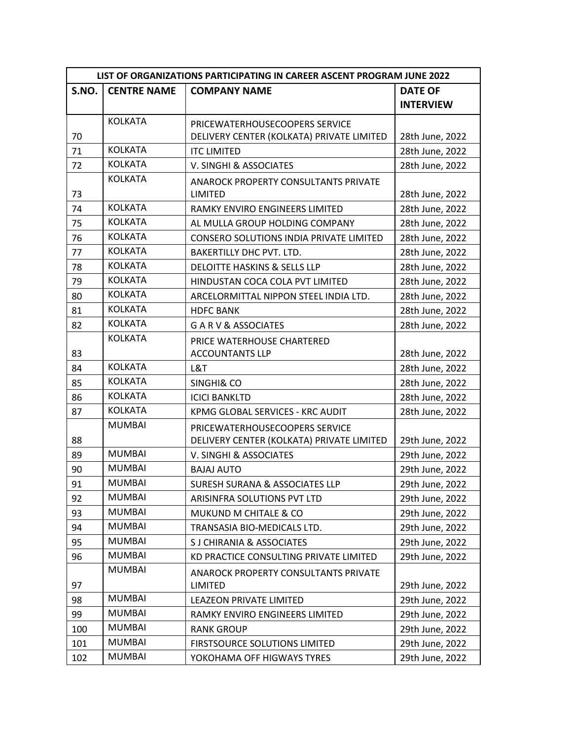| LIST OF ORGANIZATIONS PARTICIPATING IN CAREER ASCENT PROGRAM JUNE 2022 |                    |                                                |                  |
|------------------------------------------------------------------------|--------------------|------------------------------------------------|------------------|
| S.NO.                                                                  | <b>CENTRE NAME</b> | <b>COMPANY NAME</b>                            | <b>DATE OF</b>   |
|                                                                        |                    |                                                | <b>INTERVIEW</b> |
|                                                                        | <b>KOLKATA</b>     | PRICEWATERHOUSECOOPERS SERVICE                 |                  |
| 70                                                                     |                    | DELIVERY CENTER (KOLKATA) PRIVATE LIMITED      | 28th June, 2022  |
| 71                                                                     | <b>KOLKATA</b>     | <b>ITC LIMITED</b>                             | 28th June, 2022  |
| 72                                                                     | <b>KOLKATA</b>     | V. SINGHI & ASSOCIATES                         | 28th June, 2022  |
|                                                                        | <b>KOLKATA</b>     | <b>ANAROCK PROPERTY CONSULTANTS PRIVATE</b>    |                  |
| 73                                                                     |                    | <b>LIMITED</b>                                 | 28th June, 2022  |
| 74                                                                     | <b>KOLKATA</b>     | RAMKY ENVIRO ENGINEERS LIMITED                 | 28th June, 2022  |
| 75                                                                     | <b>KOLKATA</b>     | AL MULLA GROUP HOLDING COMPANY                 | 28th June, 2022  |
| 76                                                                     | <b>KOLKATA</b>     | <b>CONSERO SOLUTIONS INDIA PRIVATE LIMITED</b> | 28th June, 2022  |
| 77                                                                     | <b>KOLKATA</b>     | <b>BAKERTILLY DHC PVT. LTD.</b>                | 28th June, 2022  |
| 78                                                                     | <b>KOLKATA</b>     | <b>DELOITTE HASKINS &amp; SELLS LLP</b>        | 28th June, 2022  |
| 79                                                                     | <b>KOLKATA</b>     | HINDUSTAN COCA COLA PVT LIMITED                | 28th June, 2022  |
| 80                                                                     | <b>KOLKATA</b>     | ARCELORMITTAL NIPPON STEEL INDIA LTD.          | 28th June, 2022  |
| 81                                                                     | <b>KOLKATA</b>     | <b>HDFC BANK</b>                               | 28th June, 2022  |
| 82                                                                     | <b>KOLKATA</b>     | <b>GARV&amp;ASSOCIATES</b>                     | 28th June, 2022  |
|                                                                        | <b>KOLKATA</b>     | PRICE WATERHOUSE CHARTERED                     |                  |
| 83                                                                     |                    | <b>ACCOUNTANTS LLP</b>                         | 28th June, 2022  |
| 84                                                                     | <b>KOLKATA</b>     | L&T                                            | 28th June, 2022  |
| 85                                                                     | <b>KOLKATA</b>     | <b>SINGHI&amp; CO</b>                          | 28th June, 2022  |
| 86                                                                     | <b>KOLKATA</b>     | <b>ICICI BANKLTD</b>                           | 28th June, 2022  |
| 87                                                                     | <b>KOLKATA</b>     | KPMG GLOBAL SERVICES - KRC AUDIT               | 28th June, 2022  |
|                                                                        | <b>MUMBAI</b>      | PRICEWATERHOUSECOOPERS SERVICE                 |                  |
| 88                                                                     |                    | DELIVERY CENTER (KOLKATA) PRIVATE LIMITED      | 29th June, 2022  |
| 89                                                                     | <b>MUMBAI</b>      | V. SINGHI & ASSOCIATES                         | 29th June, 2022  |
| 90                                                                     | <b>MUMBAI</b>      | <b>BAJAJ AUTO</b>                              | 29th June, 2022  |
| 91                                                                     | <b>MUMBAI</b>      | <b>SURESH SURANA &amp; ASSOCIATES LLP</b>      | 29th June, 2022  |
| 92                                                                     | <b>MUMBAI</b>      | ARISINFRA SOLUTIONS PVT LTD                    | 29th June, 2022  |
| 93                                                                     | <b>MUMBAI</b>      | MUKUND M CHITALE & CO                          | 29th June, 2022  |
| 94                                                                     | <b>MUMBAI</b>      | TRANSASIA BIO-MEDICALS LTD.                    | 29th June, 2022  |
| 95                                                                     | <b>MUMBAI</b>      | S J CHIRANIA & ASSOCIATES                      | 29th June, 2022  |
| 96                                                                     | <b>MUMBAI</b>      | KD PRACTICE CONSULTING PRIVATE LIMITED         | 29th June, 2022  |
|                                                                        | <b>MUMBAI</b>      | <b>ANAROCK PROPERTY CONSULTANTS PRIVATE</b>    |                  |
| 97                                                                     |                    | <b>LIMITED</b>                                 | 29th June, 2022  |
| 98                                                                     | <b>MUMBAI</b>      | LEAZEON PRIVATE LIMITED                        | 29th June, 2022  |
| 99                                                                     | <b>MUMBAI</b>      | RAMKY ENVIRO ENGINEERS LIMITED                 | 29th June, 2022  |
| 100                                                                    | <b>MUMBAI</b>      | <b>RANK GROUP</b>                              | 29th June, 2022  |
| 101                                                                    | <b>MUMBAI</b>      | FIRSTSOURCE SOLUTIONS LIMITED                  | 29th June, 2022  |
| 102                                                                    | <b>MUMBAI</b>      | YOKOHAMA OFF HIGWAYS TYRES                     | 29th June, 2022  |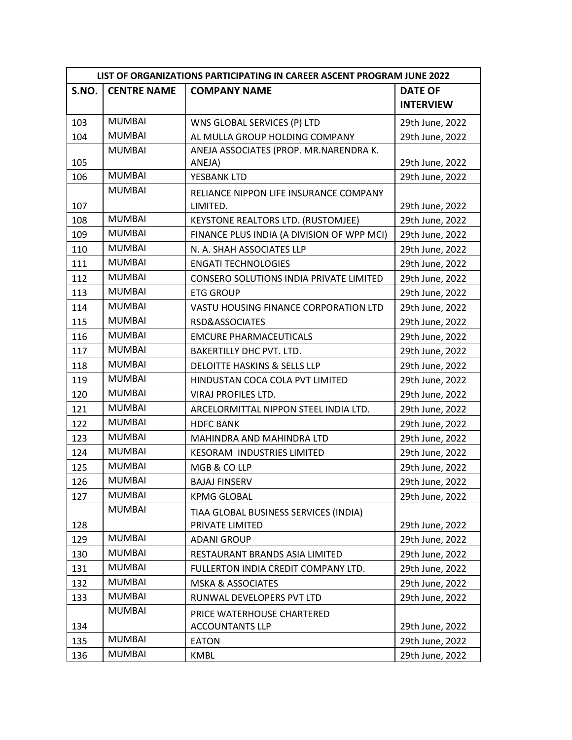| LIST OF ORGANIZATIONS PARTICIPATING IN CAREER ASCENT PROGRAM JUNE 2022 |                    |                                            |                  |
|------------------------------------------------------------------------|--------------------|--------------------------------------------|------------------|
| S.NO.                                                                  | <b>CENTRE NAME</b> | <b>COMPANY NAME</b>                        | <b>DATE OF</b>   |
|                                                                        |                    |                                            | <b>INTERVIEW</b> |
| 103                                                                    | <b>MUMBAI</b>      | WNS GLOBAL SERVICES (P) LTD                | 29th June, 2022  |
| 104                                                                    | <b>MUMBAI</b>      | AL MULLA GROUP HOLDING COMPANY             | 29th June, 2022  |
|                                                                        | <b>MUMBAI</b>      | ANEJA ASSOCIATES (PROP. MR.NARENDRA K.     |                  |
| 105                                                                    |                    | ANEJA)                                     | 29th June, 2022  |
| 106                                                                    | <b>MUMBAI</b>      | YESBANK LTD                                | 29th June, 2022  |
|                                                                        | <b>MUMBAI</b>      | RELIANCE NIPPON LIFE INSURANCE COMPANY     |                  |
| 107                                                                    |                    | LIMITED.                                   | 29th June, 2022  |
| 108                                                                    | <b>MUMBAI</b>      | KEYSTONE REALTORS LTD. (RUSTOMJEE)         | 29th June, 2022  |
| 109                                                                    | <b>MUMBAI</b>      | FINANCE PLUS INDIA (A DIVISION OF WPP MCI) | 29th June, 2022  |
| 110                                                                    | <b>MUMBAI</b>      | N. A. SHAH ASSOCIATES LLP                  | 29th June, 2022  |
| 111                                                                    | <b>MUMBAI</b>      | <b>ENGATI TECHNOLOGIES</b>                 | 29th June, 2022  |
| 112                                                                    | <b>MUMBAI</b>      | CONSERO SOLUTIONS INDIA PRIVATE LIMITED    | 29th June, 2022  |
| 113                                                                    | <b>MUMBAI</b>      | <b>ETG GROUP</b>                           | 29th June, 2022  |
| 114                                                                    | <b>MUMBAI</b>      | VASTU HOUSING FINANCE CORPORATION LTD      | 29th June, 2022  |
| 115                                                                    | <b>MUMBAI</b>      | RSD&ASSOCIATES                             | 29th June, 2022  |
| 116                                                                    | <b>MUMBAI</b>      | <b>EMCURE PHARMACEUTICALS</b>              | 29th June, 2022  |
| 117                                                                    | <b>MUMBAI</b>      | <b>BAKERTILLY DHC PVT. LTD.</b>            | 29th June, 2022  |
| 118                                                                    | <b>MUMBAI</b>      | <b>DELOITTE HASKINS &amp; SELLS LLP</b>    | 29th June, 2022  |
| 119                                                                    | <b>MUMBAI</b>      | HINDUSTAN COCA COLA PVT LIMITED            | 29th June, 2022  |
| 120                                                                    | <b>MUMBAI</b>      | VIRAJ PROFILES LTD.                        | 29th June, 2022  |
| 121                                                                    | <b>MUMBAI</b>      | ARCELORMITTAL NIPPON STEEL INDIA LTD.      | 29th June, 2022  |
| 122                                                                    | <b>MUMBAI</b>      | <b>HDFC BANK</b>                           | 29th June, 2022  |
| 123                                                                    | <b>MUMBAI</b>      | <b>MAHINDRA AND MAHINDRA LTD</b>           | 29th June, 2022  |
| 124                                                                    | <b>MUMBAI</b>      | KESORAM INDUSTRIES LIMITED                 | 29th June, 2022  |
| 125                                                                    | <b>MUMBAI</b>      | MGB & CO LLP                               | 29th June, 2022  |
| 126                                                                    | <b>MUMBAI</b>      | <b>BAJAJ FINSERV</b>                       | 29th June, 2022  |
| 127                                                                    | <b>MUMBAI</b>      | <b>KPMG GLOBAL</b>                         | 29th June, 2022  |
|                                                                        | <b>MUMBAI</b>      | TIAA GLOBAL BUSINESS SERVICES (INDIA)      |                  |
| 128                                                                    |                    | PRIVATE LIMITED                            | 29th June, 2022  |
| 129                                                                    | <b>MUMBAI</b>      | <b>ADANI GROUP</b>                         | 29th June, 2022  |
| 130                                                                    | <b>MUMBAI</b>      | RESTAURANT BRANDS ASIA LIMITED             | 29th June, 2022  |
| 131                                                                    | <b>MUMBAI</b>      | FULLERTON INDIA CREDIT COMPANY LTD.        | 29th June, 2022  |
| 132                                                                    | <b>MUMBAI</b>      | <b>MSKA &amp; ASSOCIATES</b>               | 29th June, 2022  |
| 133                                                                    | MUMBAI             | RUNWAL DEVELOPERS PVT LTD                  | 29th June, 2022  |
|                                                                        | <b>MUMBAI</b>      | PRICE WATERHOUSE CHARTERED                 |                  |
| 134                                                                    |                    | <b>ACCOUNTANTS LLP</b>                     | 29th June, 2022  |
| 135                                                                    | <b>MUMBAI</b>      | <b>EATON</b>                               | 29th June, 2022  |
| 136                                                                    | <b>MUMBAI</b>      | <b>KMBL</b>                                | 29th June, 2022  |